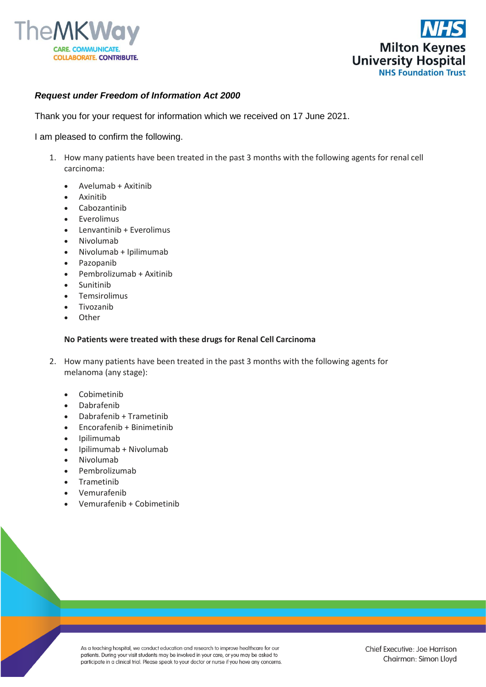



## *Request under Freedom of Information Act 2000*

Thank you for your request for information which we received on 17 June 2021.

I am pleased to confirm the following.

- 1. How many patients have been treated in the past 3 months with the following agents for renal cell carcinoma:
	- Avelumab + Axitinib
	- Axinitib
	- Cabozantinib
	- **Everolimus**
	- Lenvantinib + Everolimus
	- Nivolumab
	- Nivolumab + Ipilimumab
	- Pazopanib
	- Pembrolizumab + Axitinib
	- Sunitinib
	- Temsirolimus
	- **Tivozanib**
	- **Other**

## **No Patients were treated with these drugs for Renal Cell Carcinoma**

- 2. How many patients have been treated in the past 3 months with the following agents for melanoma (any stage):
	- Cobimetinib
	- Dabrafenib
	- Dabrafenib + Trametinib
	- Encorafenib + Binimetinib
	- Ipilimumab
	- Ipilimumab + Nivolumab
	- Nivolumab
	- Pembrolizumab
	- **Trametinib**
	- Vemurafenib
	- Vemurafenib + Cobimetinib

As a teaching hospital, we conduct education and research to improve healthcare for our patients. During your visit students may be involved in your care, or you may be asked to participate in a clinical trial. Please speak to your doctor or nurse if you have any concerns.